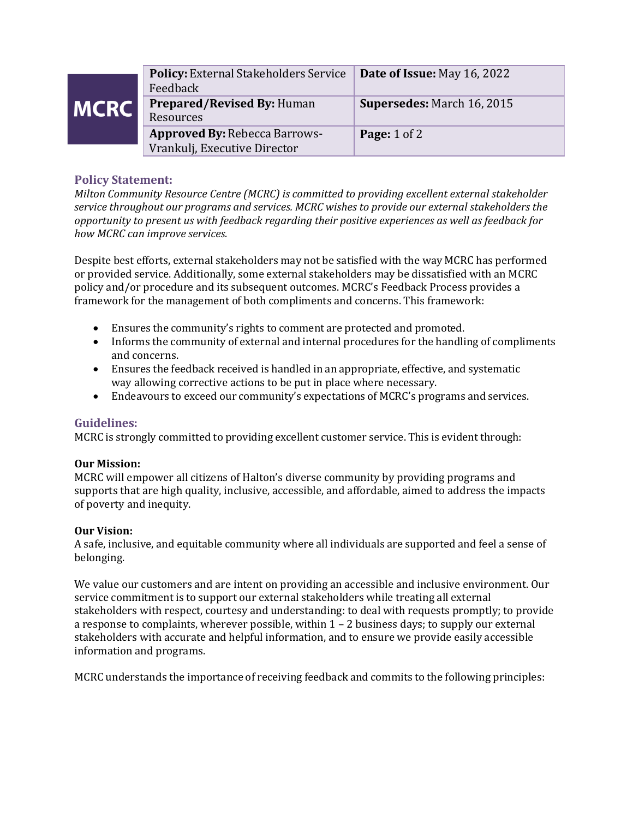| <b>MCRC</b> | <b>Policy:</b> External Stakeholders Service   Date of Issue: May 16, 2022<br>Feedback |                                   |
|-------------|----------------------------------------------------------------------------------------|-----------------------------------|
|             | <b>Prepared/Revised By: Human</b><br>Resources                                         | <b>Supersedes: March 16, 2015</b> |
|             | <b>Approved By: Rebecca Barrows-</b><br>Vrankulj, Executive Director                   | <b>Page:</b> 1 of 2               |
|             |                                                                                        |                                   |

# **Policy Statement:**

*Milton Community Resource Centre (MCRC) is committed to providing excellent external stakeholder service throughout our programs and services. MCRC wishes to provide our external stakeholders the opportunity to present us with feedback regarding their positive experiences as well as feedback for how MCRC can improve services.* 

Despite best efforts, external stakeholders may not be satisfied with the way MCRC has performed or provided service. Additionally, some external stakeholders may be dissatisfied with an MCRC policy and/or procedure and its subsequent outcomes. MCRC's Feedback Process provides a framework for the management of both compliments and concerns. This framework:

- Ensures the community's rights to comment are protected and promoted.
- Informs the community of external and internal procedures for the handling of compliments and concerns.
- Ensures the feedback received is handled in an appropriate, effective, and systematic way allowing corrective actions to be put in place where necessary.
- Endeavours to exceed our community's expectations of MCRC's programs and services.

### **Guidelines:**

MCRC is strongly committed to providing excellent customer service. This is evident through:

### **Our Mission:**

MCRC will empower all citizens of Halton's diverse community by providing programs and supports that are high quality, inclusive, accessible, and affordable, aimed to address the impacts of poverty and inequity.

### **Our Vision:**

A safe, inclusive, and equitable community where all individuals are supported and feel a sense of belonging.

We value our customers and are intent on providing an accessible and inclusive environment. Our service commitment is to support our external stakeholders while treating all external stakeholders with respect, courtesy and understanding: to deal with requests promptly; to provide a response to complaints, wherever possible, within 1 – 2 business days; to supply our external stakeholders with accurate and helpful information, and to ensure we provide easily accessible information and programs.

MCRC understands the importance of receiving feedback and commits to the following principles: